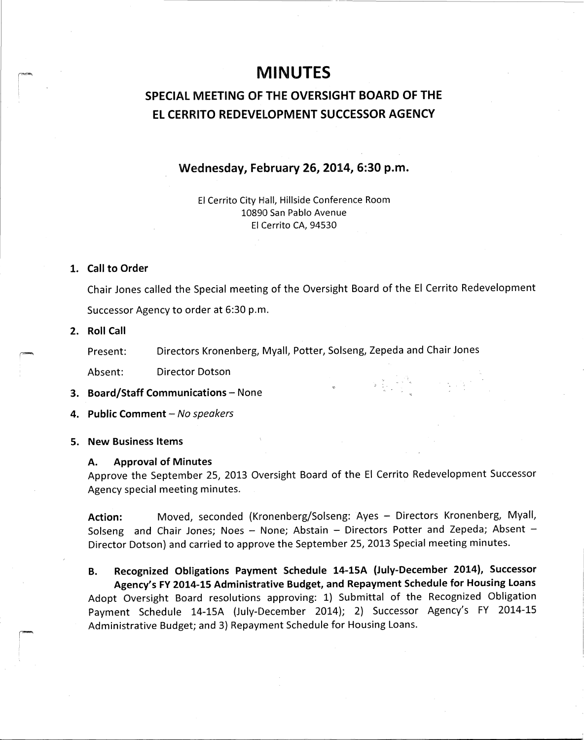# **MINUTES**

# SPECIAL MEETING OF THE OVERSIGHT BOARD OF THE EL CERRITO REDEVELOPMENT SUCCESSOR AGENCY

## Wednesday, February 26, 2014, 6:30 p.m.

El Cerrito City Hall, Hillside Conference Room 10890 San Pablo Avenue El Cerrito CA, 94530

## 1. Call to Order

Chair Jones called the Special meeting of the Oversight Board of the El Cerrito Redevelopment Successor Agency to order at 6:30 p.m.

#### 2. Roll Call

Present: Directors Kronenberg, Myall, Potter, Solseng, Zepeda and Chair Jones

Absent: Director Dotson

- 3. Board/Staff Communications None
- 4. Public Comment No speakers

## 5. New Business Items

#### A. Approval of Minutes

Approve the September 25, 2013 Oversight Board of the El Cerrito Redevelopment Successor Agency special meeting minutes.

Action: Moved, seconded (Kronenberg/Solseng: Ayes - Directors Kronenberg, Myall, Solseng and Chair Jones; Noes — None; Abstain — Directors Potter and Zepeda; Absent — Director Dotson) and carried to approve the September 25, 2013 Special meeting minutes.

B. Recognized Obligations Payment Schedule 14-15A (July-December 2014), Successor Agency's FY 2014-15 Administrative Budget, and Repayment Schedule for Housing Loans Adopt Oversight Board resolutions approving: 1) Submittal of the Recognized Obligation Payment Schedule 14-15A (July-December 2014); 2) Successor Agency's FY 2014-15 Administrative Budget; and 3) Repayment Schedule for Housing Loans.